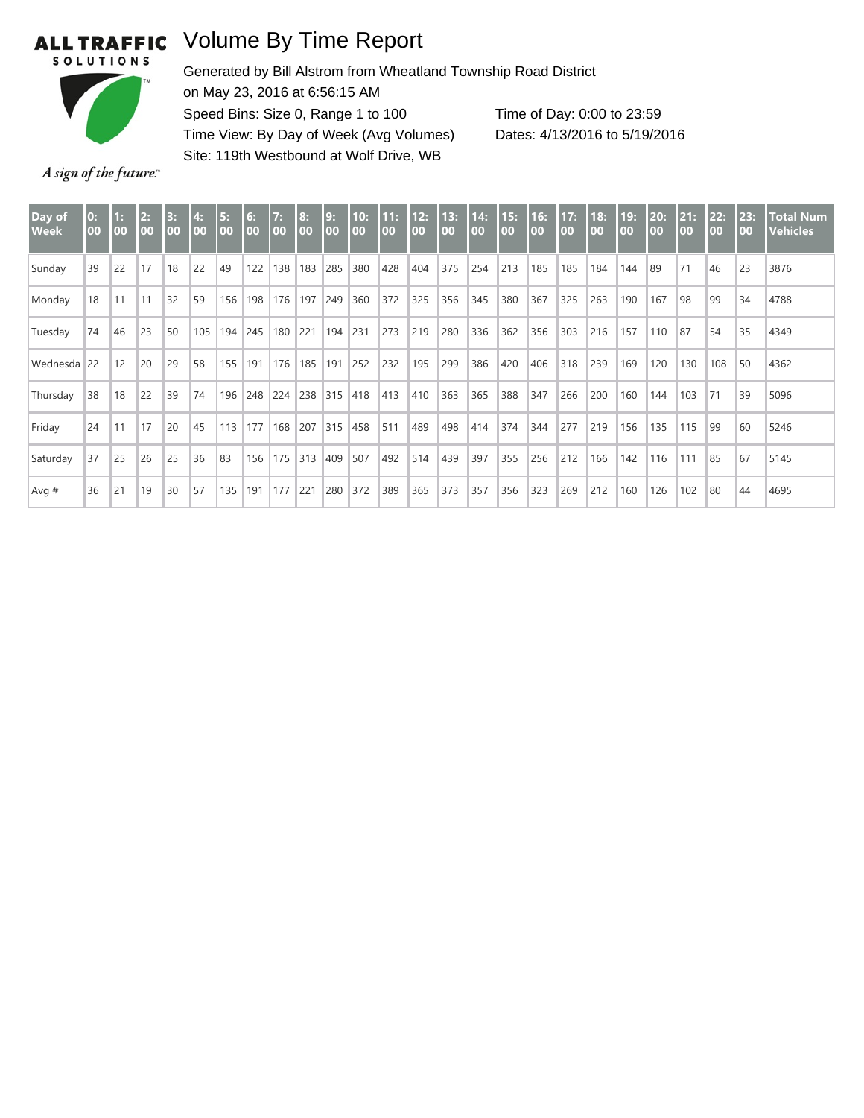## **ALL TRAFFIC**

## Volume By Time Report



Generated by Bill Alstrom from Wheatland Township Road District on May 23, 2016 at 6:56:15 AM Speed Bins: Size 0, Range 1 to 100 Time View: By Day of Week (Avg Volumes) Site: 119th Westbound at Wolf Drive, WB Time of Day: 0:00 to 23:59 Dates: 4/13/2016 to 5/19/2016

A sign of the future."

| Day of<br><b>Week</b> | $\mathbf{0}$ :<br>00 | $\mathbf{1:}$<br>00 | 2:<br>00 | 3:<br>00 | 4:<br>00 | 5:<br>00 | 6:<br>00 | 7:<br>00 | 8:<br>00 | 9:<br>00 | 10:<br>00 | 11:<br>00 | 12:<br>00 | 13:<br>00 | 14:<br>00 | 15:<br>00 | 16:<br>$\overline{00}$ | 17:<br>00 | 18:<br>00 | 19:<br>00 | 20:<br>$\overline{00}$ | 21:<br>00 | 22:<br>$\overline{00}$ | 23:<br>00 | <b>Total Num</b><br><b>Vehicles</b> |
|-----------------------|----------------------|---------------------|----------|----------|----------|----------|----------|----------|----------|----------|-----------|-----------|-----------|-----------|-----------|-----------|------------------------|-----------|-----------|-----------|------------------------|-----------|------------------------|-----------|-------------------------------------|
| Sunday                | 39                   | 22                  | 17       | 18       | 22       | 49       | 122      | 138      | 183      | 285      | 380       | 428       | 404       | 375       | 254       | 213       | 185                    | 185       | 184       | 144       | 89                     | 71        | 46                     | 23        | 3876                                |
| Monday                | 18                   | 11                  | 11       | 32       | 59       | 156      | 198      | 176      | 197      | 249      | 360       | 372       | 325       | 356       | 345       | 380       | 367                    | 325       | 263       | 190       | 167                    | 98        | 99                     | 34        | 4788                                |
| Tuesday               | 74                   | 46                  | 23       | 50       | 105      | 194      | 245      | 180      | 221      | 194      | 231       | 273       | 219       | 280       | 336       | 362       | 356                    | 303       | 216       | 157       | 110                    | 87        | 54                     | 35        | 4349                                |
| Wednesda 22           |                      | 12                  | 20       | 29       | 58       | 155      | 191      | 176      | 185      | 191      | 252       | 232       | 195       | 299       | 386       | 420       | 406                    | 318       | 239       | 169       | 120                    | 130       | 108                    | 50        | 4362                                |
| Thursday              | 38                   | 18                  | 22       | 39       | 74       | 196      | 248      | 224      | 238      | 315      | 418       | 413       | 410       | 363       | 365       | 388       | 347                    | 266       | 200       | 160       | 144                    | 103       | 71                     | 39        | 5096                                |
| Friday                | 24                   | 11                  | 17       | 20       | 45       | 113      | 177      | 168      | 207      | 315      | 458       | 511       | 489       | 498       | 414       | 374       | 344                    | 277       | 219       | 156       | 135                    | 115       | 99                     | 60        | 5246                                |
| Saturday              | 37                   | 25                  | 26       | 25       | 36       | 83       | 156      | 175      | $ 313$   | 409      | 507       | 492       | 514       | 439       | 397       | 355       | 256                    | 212       | 166       | 142       | 116                    | 111       | 85                     | 67        | 5145                                |
| Avg $#$               | 36                   | 21                  | 19       | 30       | 57       | 135      | 191      | 177      | 221      | 280      | 372       | 389       | 365       | 373       | 357       | 356       | 323                    | 269       | 212       | 160       | 126                    | 102       | 80                     | 44        | 4695                                |